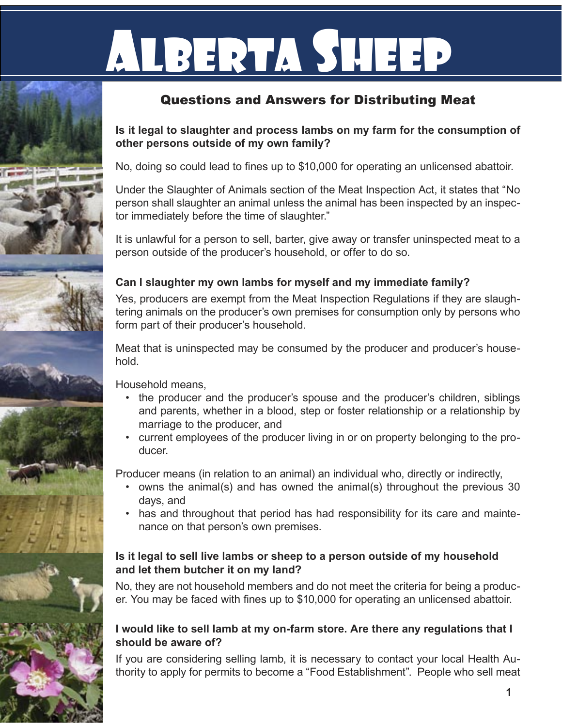# LBERTA SHE

## Questions and Answers for Distributing Meat

#### **Is it legal to slaughter and process lambs on my farm for the consumption of other persons outside of my own family?**

No, doing so could lead to fines up to \$10,000 for operating an unlicensed abattoir.

Under the Slaughter of Animals section of the Meat Inspection Act, it states that "No person shall slaughter an animal unless the animal has been inspected by an inspector immediately before the time of slaughter."

It is unlawful for a person to sell, barter, give away or transfer uninspected meat to a person outside of the producer's household, or offer to do so.

### **Can I slaughter my own lambs for myself and my immediate family?**

Yes, producers are exempt from the Meat Inspection Regulations if they are slaughtering animals on the producer's own premises for consumption only by persons who form part of their producer's household.

Meat that is uninspected may be consumed by the producer and producer's household.

Household means,

- the producer and the producer's spouse and the producer's children, siblings and parents, whether in a blood, step or foster relationship or a relationship by marriage to the producer, and
- current employees of the producer living in or on property belonging to the pro-• ducer.

Producer means (in relation to an animal) an individual who, directly or indirectly,

- owns the animal(s) and has owned the animal(s) throughout the previous 30 days, and
- has and throughout that period has had responsibility for its care and maintenance on that person's own premises.

#### **Is it legal to sell live lambs or sheep to a person outside of my household and let them butcher it on my land?**

No, they are not household members and do not meet the criteria for being a producer. You may be faced with fines up to \$10,000 for operating an unlicensed abattoir.

### **I would like to sell lamb at my on-farm store. Are there any regulations that I should be aware of?**

If you are considering selling lamb, it is necessary to contact your local Health Authority to apply for permits to become a "Food Establishment". People who sell meat